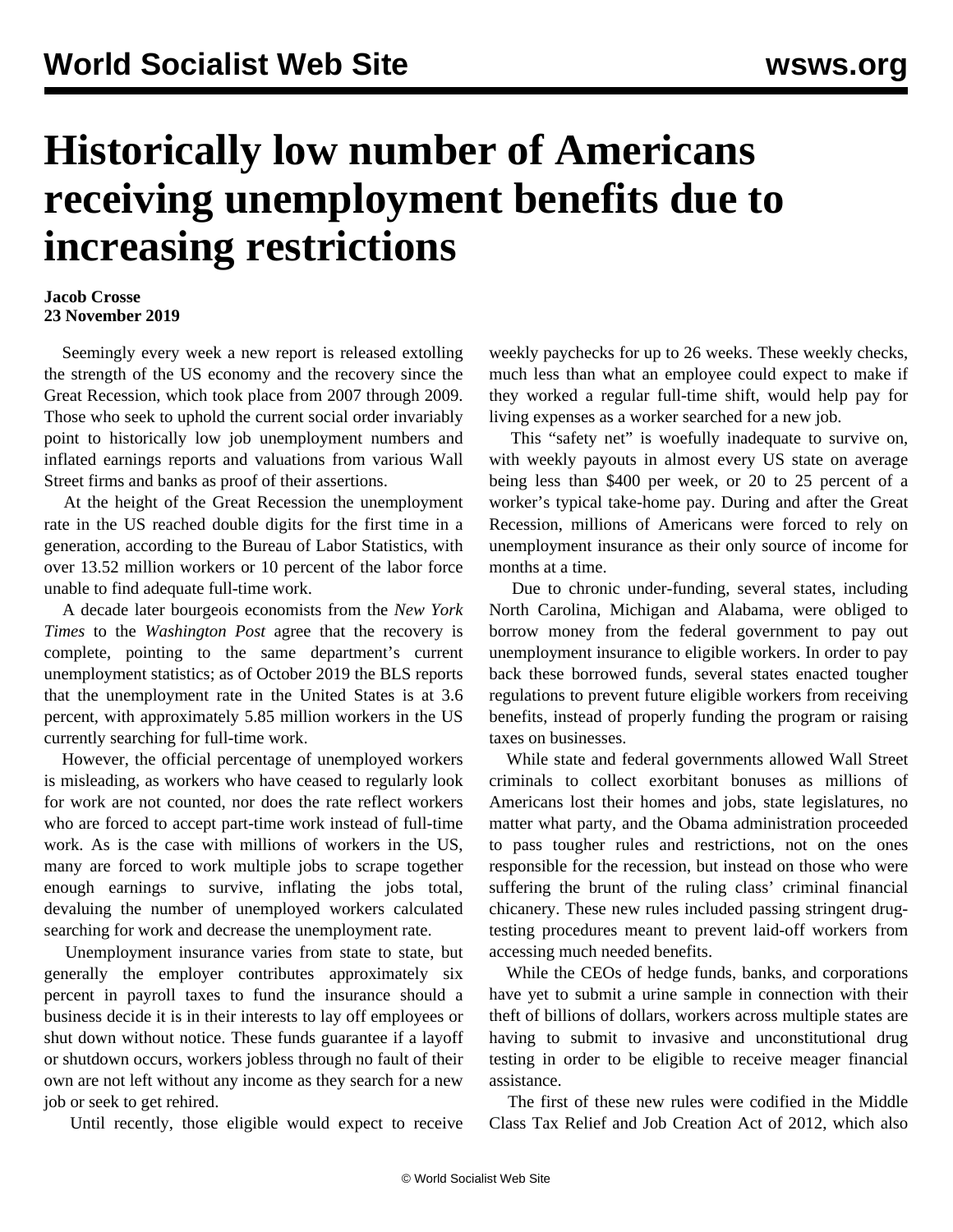## **Historically low number of Americans receiving unemployment benefits due to increasing restrictions**

## **Jacob Crosse 23 November 2019**

 Seemingly every week a new report is released extolling the strength of the US economy and the recovery since the Great Recession, which took place from 2007 through 2009. Those who seek to uphold the current social order invariably point to historically low job unemployment numbers and inflated earnings reports and valuations from various Wall Street firms and banks as proof of their assertions.

 At the height of the Great Recession the unemployment rate in the US reached double digits for the first time in a generation, according to the Bureau of Labor Statistics, with over 13.52 million workers or 10 percent of the labor force unable to find adequate full-time work.

 A decade later bourgeois economists from the *New York Times* to the *Washington Post* agree that the recovery is complete, pointing to the same department's current unemployment statistics; as of October 2019 the BLS reports that the unemployment rate in the United States is at 3.6 percent, with approximately 5.85 million workers in the US currently searching for full-time work.

 However, the official percentage of unemployed workers is misleading, as workers who have ceased to regularly look for work are not counted, nor does the rate reflect workers who are forced to accept part-time work instead of full-time work. As is the case with millions of workers in the US, many are forced to work multiple jobs to scrape together enough earnings to survive, inflating the jobs total, devaluing the number of unemployed workers calculated searching for work and decrease the unemployment rate.

 Unemployment insurance varies from state to state, but generally the employer contributes approximately six percent in payroll taxes to fund the insurance should a business decide it is in their interests to lay off employees or shut down without notice. These funds guarantee if a layoff or shutdown occurs, workers jobless through no fault of their own are not left without any income as they search for a new job or seek to get rehired.

Until recently, those eligible would expect to receive

weekly paychecks for up to 26 weeks. These weekly checks, much less than what an employee could expect to make if they worked a regular full-time shift, would help pay for living expenses as a worker searched for a new job.

 This "safety net" is woefully inadequate to survive on, with weekly payouts in almost every US state on average being less than \$400 per week, or 20 to 25 percent of a worker's typical take-home pay. During and after the Great Recession, millions of Americans were forced to rely on unemployment insurance as their only source of income for months at a time.

 Due to chronic under-funding, several states, including North Carolina, Michigan and Alabama, were obliged to borrow money from the federal government to pay out unemployment insurance to eligible workers. In order to pay back these borrowed funds, several states enacted tougher regulations to prevent future eligible workers from receiving benefits, instead of properly funding the program or raising taxes on businesses.

 While state and federal governments allowed Wall Street criminals to collect exorbitant bonuses as millions of Americans lost their homes and jobs, state legislatures, no matter what party, and the Obama administration proceeded to pass tougher rules and restrictions, not on the ones responsible for the recession, but instead on those who were suffering the brunt of the ruling class' criminal financial chicanery. These new rules included passing stringent drugtesting procedures meant to prevent laid-off workers from accessing much needed benefits.

 While the CEOs of hedge funds, banks, and corporations have yet to submit a urine sample in connection with their theft of billions of dollars, workers across multiple states are having to submit to invasive and unconstitutional drug testing in order to be eligible to receive meager financial assistance.

 The first of these new rules were codified in the Middle Class Tax Relief and Job Creation Act of 2012, which also